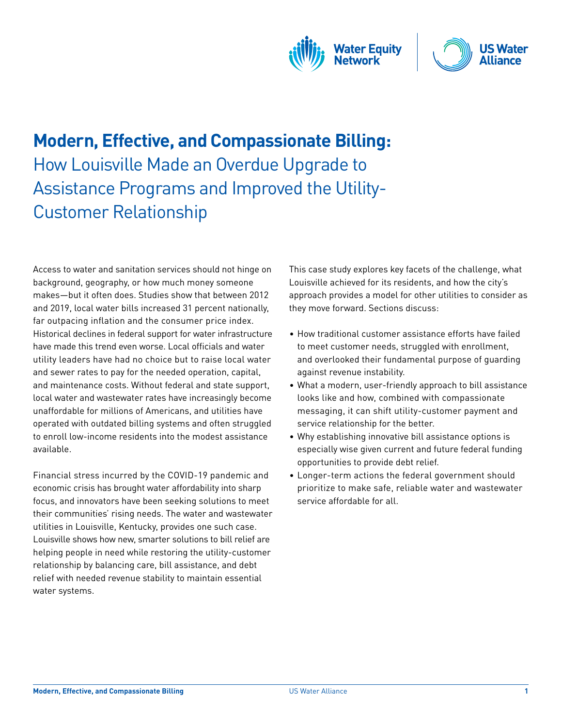



# **Modern, Effective, and Compassionate Billing:** How Louisville Made an Overdue Upgrade to Assistance Programs and Improved the Utility-Customer Relationship

Access to water and sanitation services should not hinge on background, geography, or how much money someone makes—but it often does. Studies show that between 2012 and 2019, local water bills increased 31 percent nationally, far outpacing inflation and the consumer price index. Historical declines in federal support for water infrastructure have made this trend even worse. Local officials and water utility leaders have had no choice but to raise local water and sewer rates to pay for the needed operation, capital, and maintenance costs. Without federal and state support, local water and wastewater rates have increasingly become unaffordable for millions of Americans, and utilities have operated with outdated billing systems and often struggled to enroll low-income residents into the modest assistance available.

Financial stress incurred by the COVID-19 pandemic and economic crisis has brought water affordability into sharp focus, and innovators have been seeking solutions to meet their communities' rising needs. The water and wastewater utilities in Louisville, Kentucky, provides one such case. Louisville shows how new, smarter solutions to bill relief are helping people in need while restoring the utility-customer relationship by balancing care, bill assistance, and debt relief with needed revenue stability to maintain essential water systems.

This case study explores key facets of the challenge, what Louisville achieved for its residents, and how the city's approach provides a model for other utilities to consider as they move forward. Sections discuss:

- How traditional customer assistance efforts have failed to meet customer needs, struggled with enrollment, and overlooked their fundamental purpose of guarding against revenue instability.
- What a modern, user-friendly approach to bill assistance looks like and how, combined with compassionate messaging, it can shift utility-customer payment and service relationship for the better.
- Why establishing innovative bill assistance options is especially wise given current and future federal funding opportunities to provide debt relief.
- Longer-term actions the federal government should prioritize to make safe, reliable water and wastewater service affordable for all.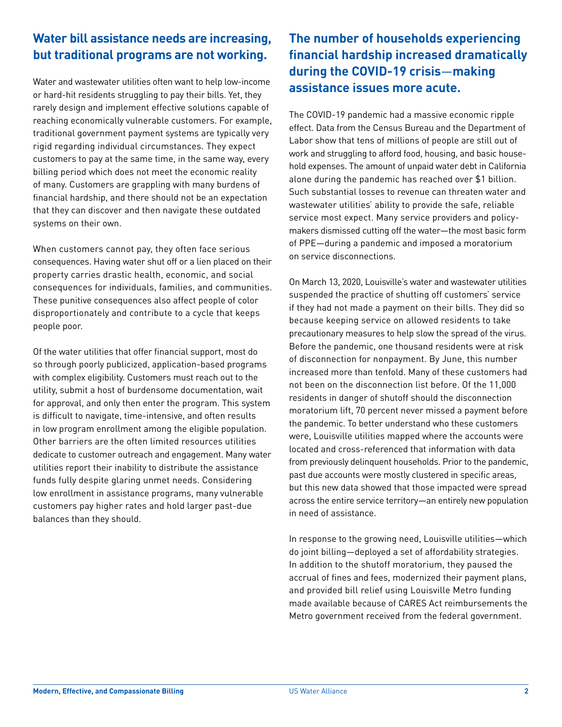### **Water bill assistance needs are increasing, but traditional programs are not working.**

Water and wastewater utilities often want to help low-income or hard-hit residents struggling to pay their bills. Yet, they rarely design and implement effective solutions capable of reaching economically vulnerable customers. For example, traditional government payment systems are typically very rigid regarding individual circumstances. They expect customers to pay at the same time, in the same way, every billing period which does not meet the economic reality of many. Customers are grappling with many burdens of financial hardship, and there should not be an expectation that they can discover and then navigate these outdated systems on their own.

When customers cannot pay, they often face serious consequences. Having water shut off or a lien placed on their property carries drastic health, economic, and social consequences for individuals, families, and communities. These punitive consequences also affect people of color disproportionately and contribute to a cycle that keeps people poor.

Of the water utilities that offer financial support, most do so through poorly publicized, application-based programs with complex eligibility. Customers must reach out to the utility, submit a host of burdensome documentation, wait for approval, and only then enter the program. This system is difficult to navigate, time-intensive, and often results in low program enrollment among the eligible population. Other barriers are the often limited resources utilities dedicate to customer outreach and engagement. Many water utilities report their inability to distribute the assistance funds fully despite glaring unmet needs. Considering low enrollment in assistance programs, many vulnerable customers pay higher rates and hold larger past-due balances than they should.

# **The number of households experiencing financial hardship increased dramatically during the COVID-19 crisis**—**making assistance issues more acute.**

The COVID-19 pandemic had a massive economic ripple effect. Data from the Census Bureau and the Department of Labor show that tens of millions of people are still out of work and struggling to afford food, housing, and basic household expenses. The amount of unpaid water debt in California alone during the pandemic has reached over \$1 billion. Such substantial losses to revenue can threaten water and wastewater utilities' ability to provide the safe, reliable service most expect. Many service providers and policymakers dismissed cutting off the water—the most basic form of PPE—during a pandemic and imposed a moratorium on service disconnections.

On March 13, 2020, Louisville's water and wastewater utilities suspended the practice of shutting off customers' service if they had not made a payment on their bills. They did so because keeping service on allowed residents to take precautionary measures to help slow the spread of the virus. Before the pandemic, one thousand residents were at risk of disconnection for nonpayment. By June, this number increased more than tenfold. Many of these customers had not been on the disconnection list before. Of the 11,000 residents in danger of shutoff should the disconnection moratorium lift, 70 percent never missed a payment before the pandemic. To better understand who these customers were, Louisville utilities mapped where the accounts were located and cross-referenced that information with data from previously delinquent households. Prior to the pandemic, past due accounts were mostly clustered in specific areas, but this new data showed that those impacted were spread across the entire service territory—an entirely new population in need of assistance.

In response to the growing need, Louisville utilities—which do joint billing—deployed a set of affordability strategies. In addition to the shutoff moratorium, they paused the accrual of fines and fees, modernized their payment plans, and provided bill relief using Louisville Metro funding made available because of CARES Act reimbursements the Metro government received from the federal government.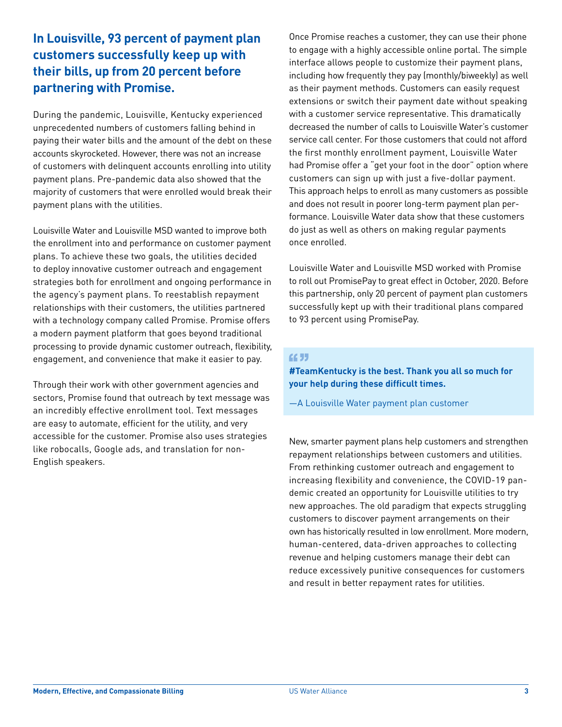## **In Louisville, 93 percent of payment plan customers successfully keep up with their bills, up from 20 percent before partnering with Promise.**

During the pandemic, Louisville, Kentucky experienced unprecedented numbers of customers falling behind in paying their water bills and the amount of the debt on these accounts skyrocketed. However, there was not an increase of customers with delinquent accounts enrolling into utility payment plans. Pre-pandemic data also showed that the majority of customers that were enrolled would break their payment plans with the utilities.

Louisville Water and Louisville MSD wanted to improve both the enrollment into and performance on customer payment plans. To achieve these two goals, the utilities decided to deploy innovative customer outreach and engagement strategies both for enrollment and ongoing performance in the agency's payment plans. To reestablish repayment relationships with their customers, the utilities partnered with a technology company called Promise. Promise offers a modern payment platform that goes beyond traditional processing to provide dynamic customer outreach, flexibility, engagement, and convenience that make it easier to pay.

Through their work with other government agencies and sectors, Promise found that outreach by text message was an incredibly effective enrollment tool. Text messages are easy to automate, efficient for the utility, and very accessible for the customer. Promise also uses strategies like robocalls, Google ads, and translation for non-English speakers.

Once Promise reaches a customer, they can use their phone to engage with a highly accessible online portal. The simple interface allows people to customize their payment plans, including how frequently they pay (monthly/biweekly) as well as their payment methods. Customers can easily request extensions or switch their payment date without speaking with a customer service representative. This dramatically decreased the number of calls to Louisville Water's customer service call center. For those customers that could not afford the first monthly enrollment payment, Louisville Water had Promise offer a "get your foot in the door" option where customers can sign up with just a five-dollar payment. This approach helps to enroll as many customers as possible and does not result in poorer long-term payment plan performance. Louisville Water data show that these customers do just as well as others on making regular payments once enrolled.

Louisville Water and Louisville MSD worked with Promise to roll out PromisePay to great effect in October, 2020. Before this partnership, only 20 percent of payment plan customers successfully kept up with their traditional plans compared to 93 percent using PromisePay.

#### **CC 33**

**#TeamKentucky is the best. Thank you all so much for your help during these difficult times.** 

—A Louisville Water payment plan customer

New, smarter payment plans help customers and strengthen repayment relationships between customers and utilities. From rethinking customer outreach and engagement to increasing flexibility and convenience, the COVID-19 pandemic created an opportunity for Louisville utilities to try new approaches. The old paradigm that expects struggling customers to discover payment arrangements on their own has historically resulted in low enrollment. More modern, human-centered, data-driven approaches to collecting revenue and helping customers manage their debt can reduce excessively punitive consequences for customers and result in better repayment rates for utilities.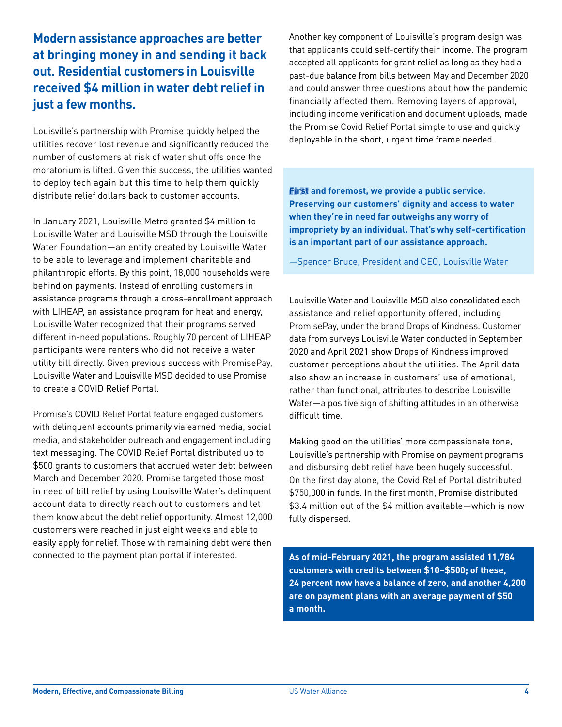### **Modern assistance approaches are better at bringing money in and sending it back out. Residential customers in Louisville received \$4 million in water debt relief in just a few months.**

Louisville's partnership with Promise quickly helped the utilities recover lost revenue and significantly reduced the number of customers at risk of water shut offs once the moratorium is lifted. Given this success, the utilities wanted to deploy tech again but this time to help them quickly distribute relief dollars back to customer accounts.

In January 2021, Louisville Metro granted \$4 million to Louisville Water and Louisville MSD through the Louisville Water Foundation—an entity created by Louisville Water to be able to leverage and implement charitable and philanthropic efforts. By this point, 18,000 households were behind on payments. Instead of enrolling customers in assistance programs through a cross-enrollment approach with LIHEAP, an assistance program for heat and energy, Louisville Water recognized that their programs served different in-need populations. Roughly 70 percent of LIHEAP participants were renters who did not receive a water utility bill directly. Given previous success with PromisePay, Louisville Water and Louisville MSD decided to use Promise to create a COVID Relief Portal.

Promise's COVID Relief Portal feature engaged customers with delinquent accounts primarily via earned media, social media, and stakeholder outreach and engagement including text messaging. The COVID Relief Portal distributed up to \$500 grants to customers that accrued water debt between March and December 2020. Promise targeted those most in need of bill relief by using Louisville Water's delinquent account data to directly reach out to customers and let them know about the debt relief opportunity. Almost 12,000 customers were reached in just eight weeks and able to easily apply for relief. Those with remaining debt were then connected to the payment plan portal if interested.

Another key component of Louisville's program design was that applicants could self-certify their income. The program accepted all applicants for grant relief as long as they had a past-due balance from bills between May and December 2020 and could answer three questions about how the pandemic financially affected them. Removing layers of approval, including income verification and document uploads, made the Promise Covid Relief Portal simple to use and quickly deployable in the short, urgent time frame needed.

**First and foremost, we provide a public service. Preserving our customers' dignity and access to water when they're in need far outweighs any worry of impropriety by an individual. That's why self-certification is an important part of our assistance approach.**

—Spencer Bruce, President and CEO, Louisville Water

Louisville Water and Louisville MSD also consolidated each assistance and relief opportunity offered, including PromisePay, under the brand Drops of Kindness. Customer data from surveys Louisville Water conducted in September 2020 and April 2021 show Drops of Kindness improved customer perceptions about the utilities. The April data also show an increase in customers' use of emotional, rather than functional, attributes to describe Louisville Water—a positive sign of shifting attitudes in an otherwise difficult time.

Making good on the utilities' more compassionate tone, Louisville's partnership with Promise on payment programs and disbursing debt relief have been hugely successful. On the first day alone, the Covid Relief Portal distributed \$750,000 in funds. In the first month, Promise distributed \$3.4 million out of the \$4 million available—which is now fully dispersed.

**As of mid-February 2021, the program assisted 11,784 customers with credits between \$10–\$500; of these, 24 percent now have a balance of zero, and another 4,200 are on payment plans with an average payment of \$50 a month.**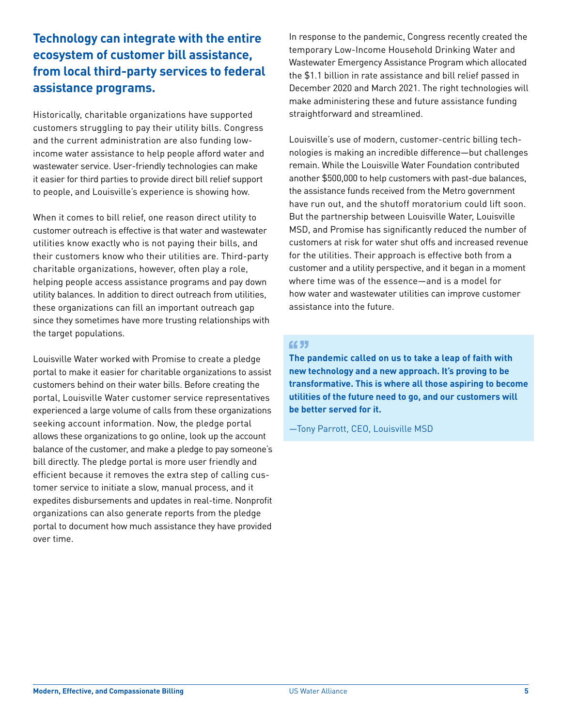# **Technology can integrate with the entire ecosystem of customer bill assistance, from local third-party services to federal assistance programs.**

Historically, charitable organizations have supported customers struggling to pay their utility bills. Congress and the current administration are also funding lowincome water assistance to help people afford water and wastewater service. User-friendly technologies can make it easier for third parties to provide direct bill relief support to people, and Louisville's experience is showing how.

When it comes to bill relief, one reason direct utility to customer outreach is effective is that water and wastewater utilities know exactly who is not paying their bills, and their customers know who their utilities are. Third-party charitable organizations, however, often play a role, helping people access assistance programs and pay down utility balances. In addition to direct outreach from utilities, these organizations can fill an important outreach gap since they sometimes have more trusting relationships with the target populations.

Louisville Water worked with Promise to create a pledge portal to make it easier for charitable organizations to assist customers behind on their water bills. Before creating the portal, Louisville Water customer service representatives experienced a large volume of calls from these organizations seeking account information. Now, the pledge portal allows these organizations to go online, look up the account balance of the customer, and make a pledge to pay someone's bill directly. The pledge portal is more user friendly and efficient because it removes the extra step of calling customer service to initiate a slow, manual process, and it expedites disbursements and updates in real-time. Nonprofit organizations can also generate reports from the pledge portal to document how much assistance they have provided over time.

In response to the pandemic, Congress recently created the temporary Low-Income Household Drinking Water and Wastewater Emergency Assistance Program which allocated the \$1.1 billion in rate assistance and bill relief passed in December 2020 and March 2021. The right technologies will make administering these and future assistance funding straightforward and streamlined.

Louisville's use of modern, customer-centric billing technologies is making an incredible difference—but challenges remain. While the Louisville Water Foundation contributed another \$500,000 to help customers with past-due balances, the assistance funds received from the Metro government have run out, and the shutoff moratorium could lift soon. But the partnership between Louisville Water, Louisville MSD, and Promise has significantly reduced the number of customers at risk for water shut offs and increased revenue for the utilities. Their approach is effective both from a customer and a utility perspective, and it began in a moment where time was of the essence—and is a model for how water and wastewater utilities can improve customer assistance into the future.

#### **CC 33**

**The pandemic called on us to take a leap of faith with new technology and a new approach. It's proving to be transformative. This is where all those aspiring to become utilities of the future need to go, and our customers will be better served for it.**

—Tony Parrott, CEO, Louisville MSD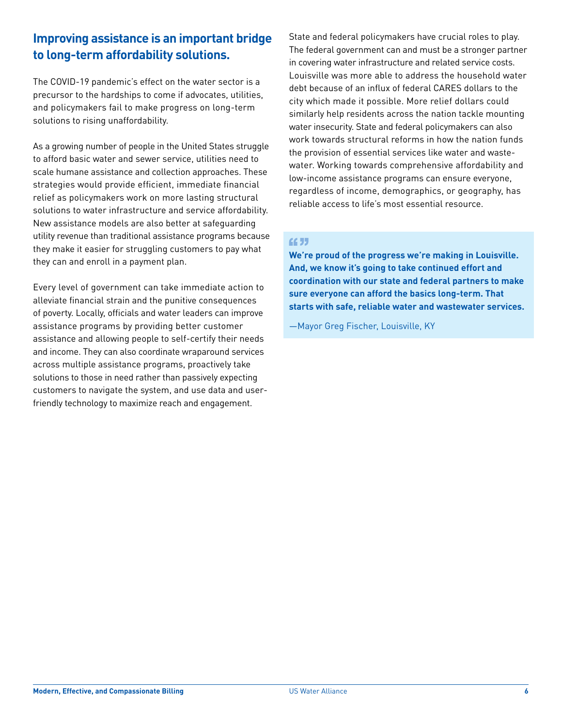#### **Improving assistance is an important bridge to long-term affordability solutions.**

The COVID-19 pandemic's effect on the water sector is a precursor to the hardships to come if advocates, utilities, and policymakers fail to make progress on long-term solutions to rising unaffordability.

As a growing number of people in the United States struggle to afford basic water and sewer service, utilities need to scale humane assistance and collection approaches. These strategies would provide efficient, immediate financial relief as policymakers work on more lasting structural solutions to water infrastructure and service affordability. New assistance models are also better at safeguarding utility revenue than traditional assistance programs because they make it easier for struggling customers to pay what they can and enroll in a payment plan.

Every level of government can take immediate action to alleviate financial strain and the punitive consequences of poverty. Locally, officials and water leaders can improve assistance programs by providing better customer assistance and allowing people to self-certify their needs and income. They can also coordinate wraparound services across multiple assistance programs, proactively take solutions to those in need rather than passively expecting customers to navigate the system, and use data and userfriendly technology to maximize reach and engagement.

State and federal policymakers have crucial roles to play. The federal government can and must be a stronger partner in covering water infrastructure and related service costs. Louisville was more able to address the household water debt because of an influx of federal CARES dollars to the city which made it possible. More relief dollars could similarly help residents across the nation tackle mounting water insecurity. State and federal policymakers can also work towards structural reforms in how the nation funds the provision of essential services like water and wastewater. Working towards comprehensive affordability and low-income assistance programs can ensure everyone, regardless of income, demographics, or geography, has reliable access to life's most essential resource.

#### **CC 33**

**We're proud of the progress we're making in Louisville. And, we know it's going to take continued effort and coordination with our state and federal partners to make sure everyone can afford the basics long-term. That starts with safe, reliable water and wastewater services.**

—Mayor Greg Fischer, Louisville, KY